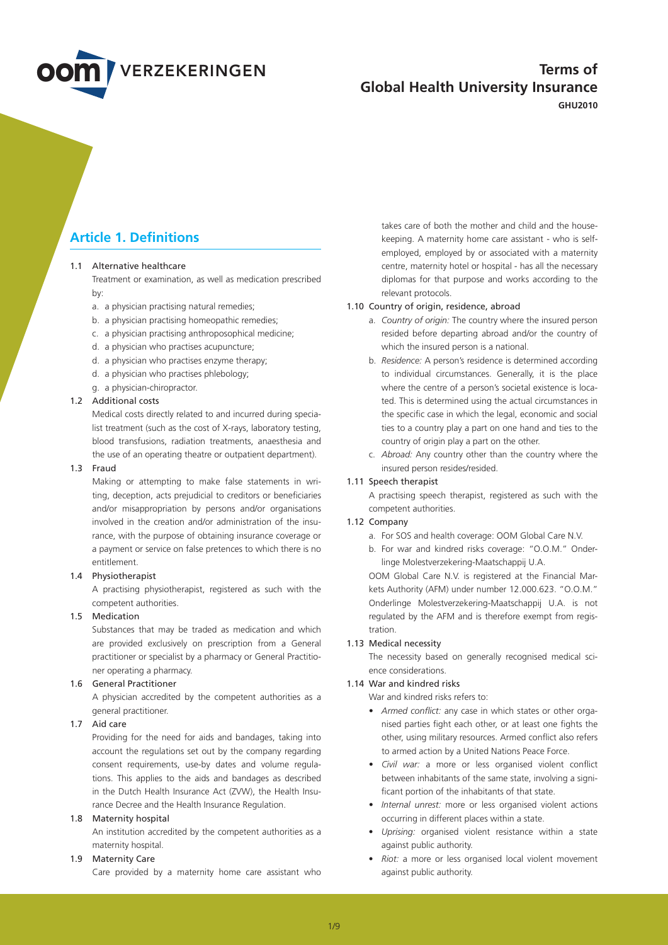

# **Terms of Global Health University Insurance**

**GHU2010**

# **Article 1. Definitions**

# 1.1 Alternative healthcare

 Treatment or examination, as well as medication prescribed  $hv$ 

- a. a physician practising natural remedies;
- b. a physician practising homeopathic remedies;
- c. a physician practising anthroposophical medicine;
- d. a physician who practises acupuncture;
- d. a physician who practises enzyme therapy;
- d. a physician who practises phlebology;
- g. a physician-chiropractor.

# 1.2 Additional costs

 Medical costs directly related to and incurred during specialist treatment (such as the cost of X-rays, laboratory testing, blood transfusions, radiation treatments, anaesthesia and the use of an operating theatre or outpatient department).

## 1.3 Fraud

 Making or attempting to make false statements in writing, deception, acts prejudicial to creditors or beneficiaries and/or misappropriation by persons and/or organisations involved in the creation and/or administration of the insurance, with the purpose of obtaining insurance coverage or a payment or service on false pretences to which there is no entitlement.

# 1.4 Physiotherapist

 A practising physiotherapist, registered as such with the competent authorities.

## 1.5 Medication

 Substances that may be traded as medication and which are provided exclusively on prescription from a General practitioner or specialist by a pharmacy or General Practitioner operating a pharmacy.

## 1.6 General Practitioner

 A physician accredited by the competent authorities as a general practitioner.

# 1.7 Aid care

 Providing for the need for aids and bandages, taking into account the regulations set out by the company regarding consent requirements, use-by dates and volume regulations. This applies to the aids and bandages as described in the Dutch Health Insurance Act (ZVW), the Health Insurance Decree and the Health Insurance Regulation.

# 1.8 Maternity hospital

 An institution accredited by the competent authorities as a maternity hospital.

# 1.9 Maternity Care

Care provided by a maternity home care assistant who

takes care of both the mother and child and the housekeeping. A maternity home care assistant - who is selfemployed, employed by or associated with a maternity centre, maternity hotel or hospital - has all the necessary diplomas for that purpose and works according to the relevant protocols.

# 1.10 Country of origin, residence, abroad

- a. *Country of origin:* The country where the insured person resided before departing abroad and/or the country of which the insured person is a national.
- b. *Residence:* A person's residence is determined according to individual circumstances. Generally, it is the place where the centre of a person's societal existence is located. This is determined using the actual circumstances in the specific case in which the legal, economic and social ties to a country play a part on one hand and ties to the country of origin play a part on the other.
- c. *Abroad:* Any country other than the country where the insured person resides/resided.

# 1.11 Speech therapist

 A practising speech therapist, registered as such with the competent authorities.

# 1.12 Company

- a. For SOS and health coverage: OOM Global Care N.V.
- b. For war and kindred risks coverage: "O.O.M." Onderlinge Molestverzekering-Maatschappij U.A.

 OOM Global Care N.V. is registered at the Financial Markets Authority (AFM) under number 12.000.623. "O.O.M." Onderlinge Molestverzekering-Maatschappij U.A. is not regulated by the AFM and is therefore exempt from registration.

### 1.13 Medical necessity

 The necessity based on generally recognised medical science considerations.

#### 1.14 War and kindred risks

War and kindred risks refers to:

- • *Armed conflict:* any case in which states or other organised parties fight each other, or at least one fights the other, using military resources. Armed conflict also refers to armed action by a United Nations Peace Force.
- • *Civil war:* a more or less organised violent conflict between inhabitants of the same state, involving a significant portion of the inhabitants of that state.
- • *Internal unrest:* more or less organised violent actions occurring in different places within a state.
- • *Uprising:* organised violent resistance within a state against public authority.
- • *Riot:* a more or less organised local violent movement against public authority.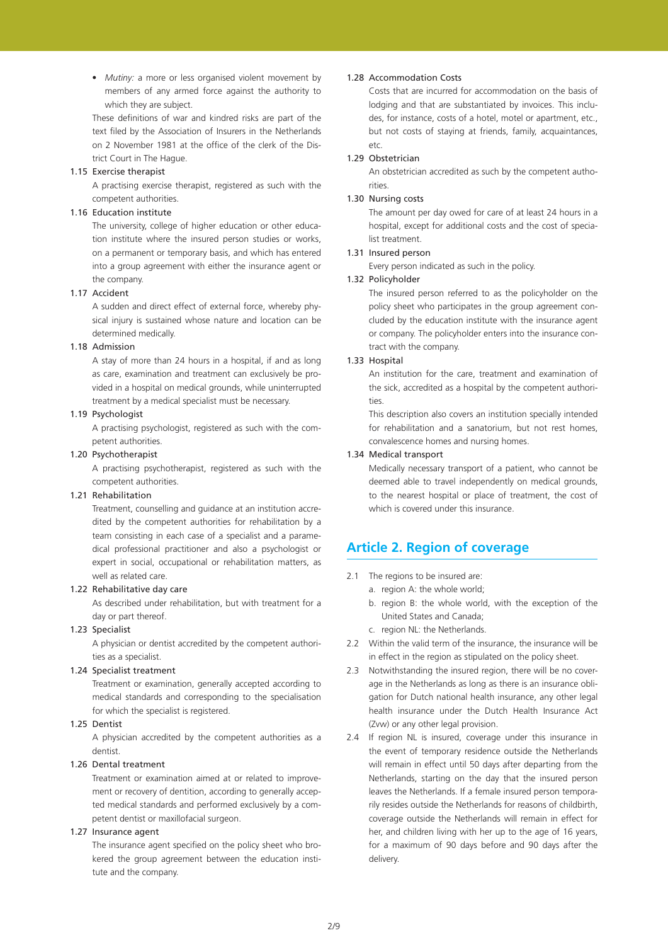• *Mutiny:* a more or less organised violent movement by members of any armed force against the authority to which they are subject.

 These definitions of war and kindred risks are part of the text filed by the Association of Insurers in the Netherlands on 2 November 1981 at the office of the clerk of the District Court in The Hague.

## 1.15 Exercise therapist

 A practising exercise therapist, registered as such with the competent authorities.

## 1.16 Education institute

 The university, college of higher education or other education institute where the insured person studies or works, on a permanent or temporary basis, and which has entered into a group agreement with either the insurance agent or the company.

# 1.17 Accident

 A sudden and direct effect of external force, whereby physical injury is sustained whose nature and location can be determined medically.

## 1.18 Admission

 A stay of more than 24 hours in a hospital, if and as long as care, examination and treatment can exclusively be provided in a hospital on medical grounds, while uninterrupted treatment by a medical specialist must be necessary.

# 1.19 Psychologist

 A practising psychologist, registered as such with the competent authorities.

# 1.20 Psychotherapist

 A practising psychotherapist, registered as such with the competent authorities.

# 1.21 Rehabilitation

 Treatment, counselling and guidance at an institution accredited by the competent authorities for rehabilitation by a team consisting in each case of a specialist and a paramedical professional practitioner and also a psychologist or expert in social, occupational or rehabilitation matters, as well as related care.

#### 1.22 Rehabilitative day care

 As described under rehabilitation, but with treatment for a day or part thereof.

# 1.23 Specialist

 A physician or dentist accredited by the competent authorities as a specialist.

# 1.24 Specialist treatment

 Treatment or examination, generally accepted according to medical standards and corresponding to the specialisation for which the specialist is registered.

## 1.25 Dentist

 A physician accredited by the competent authorities as a dentist.

# 1.26 Dental treatment

 Treatment or examination aimed at or related to improvement or recovery of dentition, according to generally accepted medical standards and performed exclusively by a competent dentist or maxillofacial surgeon.

# 1.27 Insurance agent

 The insurance agent specified on the policy sheet who brokered the group agreement between the education institute and the company.

## 1.28 Accommodation Costs

 Costs that are incurred for accommodation on the basis of lodging and that are substantiated by invoices. This includes, for instance, costs of a hotel, motel or apartment, etc., but not costs of staying at friends, family, acquaintances, etc.

# 1.29 Obstetrician

 An obstetrician accredited as such by the competent authorities.

## 1.30 Nursing costs

 The amount per day owed for care of at least 24 hours in a hospital, except for additional costs and the cost of specialist treatment.

# 1.31 Insured person

 Every person indicated as such in the policy.

## 1.32 Policyholder

 The insured person referred to as the policyholder on the policy sheet who participates in the group agreement concluded by the education institute with the insurance agent or company. The policyholder enters into the insurance contract with the company.

# 1.33 Hospital

 An institution for the care, treatment and examination of the sick, accredited as a hospital by the competent authorities.

 This description also covers an institution specially intended for rehabilitation and a sanatorium, but not rest homes, convalescence homes and nursing homes.

## 1.34 Medical transport

 Medically necessary transport of a patient, who cannot be deemed able to travel independently on medical grounds, to the nearest hospital or place of treatment, the cost of which is covered under this insurance.

# **Article 2. Region of coverage**

- 2.1 The regions to be insured are:
	- a. region A: the whole world;
	- b. region B: the whole world, with the exception of the United States and Canada;
	- c. region NL: the Netherlands.
- 2.2 Within the valid term of the insurance, the insurance will be in effect in the region as stipulated on the policy sheet.
- 2.3 Notwithstanding the insured region, there will be no coverage in the Netherlands as long as there is an insurance obligation for Dutch national health insurance, any other legal health insurance under the Dutch Health Insurance Act (Zvw) or any other legal provision.
- 2.4 If region NL is insured, coverage under this insurance in the event of temporary residence outside the Netherlands will remain in effect until 50 days after departing from the Netherlands, starting on the day that the insured person leaves the Netherlands. If a female insured person temporarily resides outside the Netherlands for reasons of childbirth, coverage outside the Netherlands will remain in effect for her, and children living with her up to the age of 16 years, for a maximum of 90 days before and 90 days after the delivery.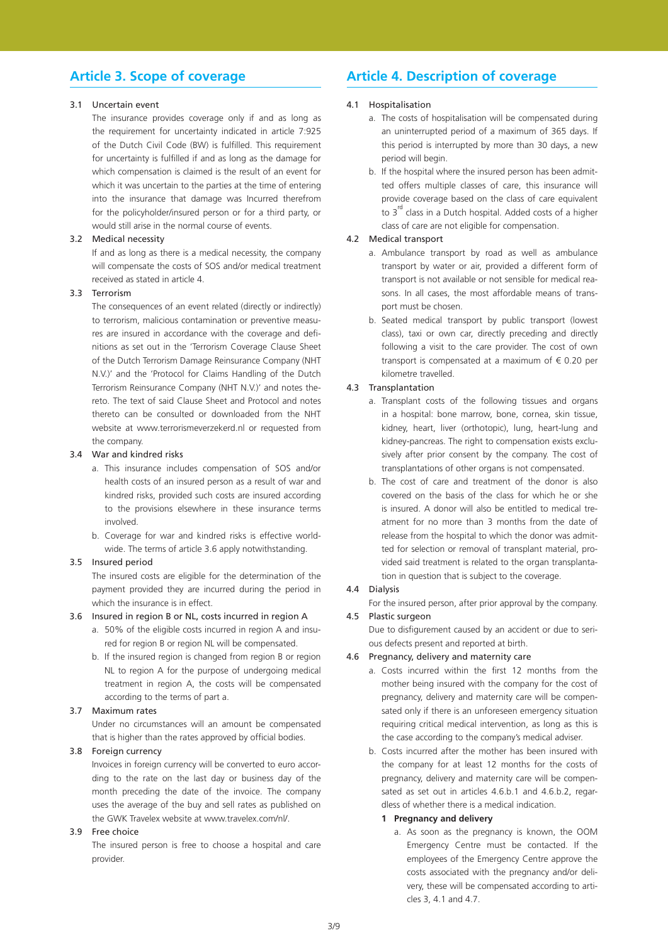# **Article 3. Scope of coverage**

# 3.1 Uncertain event

 The insurance provides coverage only if and as long as the requirement for uncertainty indicated in article 7:925 of the Dutch Civil Code (BW) is fulfilled. This requirement for uncertainty is fulfilled if and as long as the damage for which compensation is claimed is the result of an event for which it was uncertain to the parties at the time of entering into the insurance that damage was Incurred therefrom for the policyholder/insured person or for a third party, or would still arise in the normal course of events.

# 3.2 Medical necessity

 If and as long as there is a medical necessity, the company will compensate the costs of SOS and/or medical treatment received as stated in article 4.

# 3.3 Terrorism

 The consequences of an event related (directly or indirectly) to terrorism, malicious contamination or preventive measures are insured in accordance with the coverage and definitions as set out in the 'Terrorism Coverage Clause Sheet of the Dutch Terrorism Damage Reinsurance Company (NHT N.V.)' and the 'Protocol for Claims Handling of the Dutch Terrorism Reinsurance Company (NHT N.V.)' and notes thereto. The text of said Clause Sheet and Protocol and notes thereto can be consulted or downloaded from the NHT website at www.terrorismeverzekerd.nl or requested from the company.

## 3.4 War and kindred risks

- a. This insurance includes compensation of SOS and/or health costs of an insured person as a result of war and kindred risks, provided such costs are insured according to the provisions elsewhere in these insurance terms involved.
- b. Coverage for war and kindred risks is effective worldwide. The terms of article 3.6 apply notwithstanding.

### 3.5 Insured period

 The insured costs are eligible for the determination of the payment provided they are incurred during the period in which the insurance is in effect.

#### 3.6 Insured in region B or NL, costs incurred in region A

- a. 50% of the eligible costs incurred in region A and insured for region B or region NL will be compensated.
- b. If the insured region is changed from region B or region NL to region A for the purpose of undergoing medical treatment in region A, the costs will be compensated according to the terms of part a.

## 3.7 Maximum rates

 Under no circumstances will an amount be compensated that is higher than the rates approved by official bodies.

## 3.8 Foreign currency

 Invoices in foreign currency will be converted to euro according to the rate on the last day or business day of the month preceding the date of the invoice. The company uses the average of the buy and sell rates as published on the GWK Travelex website at www.travelex.com/nl/.

# 3.9 Free choice

 The insured person is free to choose a hospital and care provider.

# **Article 4. Description of coverage**

# 4.1 Hospitalisation

- a. The costs of hospitalisation will be compensated during an uninterrupted period of a maximum of 365 days. If this period is interrupted by more than 30 days, a new period will begin.
- b. If the hospital where the insured person has been admitted offers multiple classes of care, this insurance will provide coverage based on the class of care equivalent to  $3^{rd}$  class in a Dutch hospital. Added costs of a higher class of care are not eligible for compensation.

# 4.2 Medical transport

- a. Ambulance transport by road as well as ambulance transport by water or air, provided a different form of transport is not available or not sensible for medical reasons. In all cases, the most affordable means of transport must be chosen.
- b. Seated medical transport by public transport (lowest class), taxi or own car, directly preceding and directly following a visit to the care provider. The cost of own transport is compensated at a maximum of  $\epsilon$  0.20 per kilometre travelled.

### 4.3 Transplantation

- a. Transplant costs of the following tissues and organs in a hospital: bone marrow, bone, cornea, skin tissue, kidney, heart, liver (orthotopic), lung, heart-lung and kidney-pancreas. The right to compensation exists exclusively after prior consent by the company. The cost of transplantations of other organs is not compensated.
- b. The cost of care and treatment of the donor is also covered on the basis of the class for which he or she is insured. A donor will also be entitled to medical treatment for no more than 3 months from the date of release from the hospital to which the donor was admitted for selection or removal of transplant material, provided said treatment is related to the organ transplantation in question that is subject to the coverage.

## 4.4 Dialysis

 For the insured person, after prior approval by the company.

4.5 Plastic surgeon Due to disfigurement caused by an accident or due to serious defects present and reported at birth.

#### 4.6 Pregnancy, delivery and maternity care

- a. Costs incurred within the first 12 months from the mother being insured with the company for the cost of pregnancy, delivery and maternity care will be compensated only if there is an unforeseen emergency situation requiring critical medical intervention, as long as this is the case according to the company's medical adviser.
- b. Costs incurred after the mother has been insured with the company for at least 12 months for the costs of pregnancy, delivery and maternity care will be compensated as set out in articles 4.6.b.1 and 4.6.b.2, regardless of whether there is a medical indication.

#### **1 Pregnancy and delivery**

a. As soon as the pregnancy is known, the OOM Emergency Centre must be contacted. If the employees of the Emergency Centre approve the costs associated with the pregnancy and/or delivery, these will be compensated according to articles 3, 4.1 and 4.7.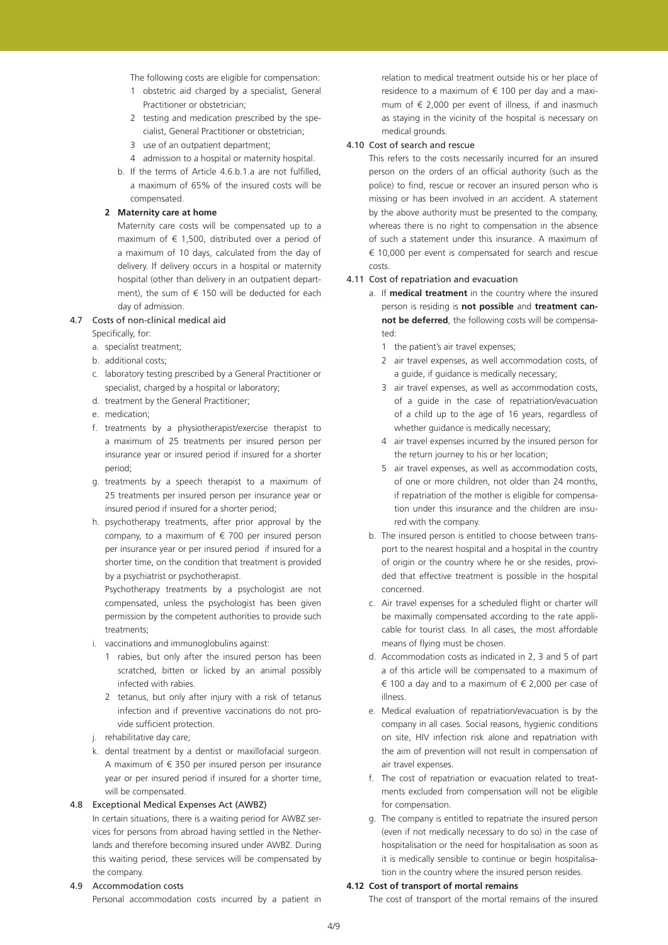The following costs are eligible for compensation:

- 1 obstetric aid charged by a specialist, General Practitioner or obstetrician;
- 2 testing and medication prescribed by the specialist, General Practitioner or obstetrician;
- 3 use of an outpatient department;
- 4 admission to a hospital or maternity hospital.
- b. If the terms of Article 4.6.b.1.a are not fulfilled, a maximum of 65% of the insured costs will be compensated.
- **2 Maternity care at home**
	- Maternity care costs will be compensated up to a maximum of  $\epsilon$  1,500, distributed over a period of a maximum of 10 days, calculated from the day of delivery. If delivery occurs in a hospital or maternity hospital (other than delivery in an outpatient department), the sum of  $\epsilon$  150 will be deducted for each day of admission.

# 4.7 Costs of non-clinical medical aid

 Specifically, for:

- a. specialist treatment;
- b. additional costs;
- c. laboratory testing prescribed by a General Practitioner or specialist, charged by a hospital or laboratory;
- d. treatment by the General Practitioner;
- e. medication:
- f. treatments by a physiotherapist/exercise therapist to a maximum of 25 treatments per insured person per insurance year or insured period if insured for a shorter period;
- g. treatments by a speech therapist to a maximum of 25 treatments per insured person per insurance year or insured period if insured for a shorter period;
- h. psychotherapy treatments, after prior approval by the company, to a maximum of  $\epsilon$  700 per insured person per insurance year or per insured period if insured for a shorter time, on the condition that treatment is provided by a psychiatrist or psychotherapist.

 Psychotherapy treatments by a psychologist are not compensated, unless the psychologist has been given permission by the competent authorities to provide such treatments;

- i. vaccinations and immunoglobulins against:
	- 1 rabies, but only after the insured person has been scratched, bitten or licked by an animal possibly infected with rabies.
	- 2 tetanus, but only after injury with a risk of tetanus infection and if preventive vaccinations do not provide sufficient protection.
- j. rehabilitative day care;
- k. dental treatment by a dentist or maxillofacial surgeon. A maximum of  $\epsilon$  350 per insured person per insurance year or per insured period if insured for a shorter time, will be compensated.

# 4.8 Exceptional Medical Expenses Act (AWBZ)

 In certain situations, there is a waiting period for AWBZ services for persons from abroad having settled in the Netherlands and therefore becoming insured under AWBZ. During this waiting period, these services will be compensated by the company.

#### 4.9 Accommodation costs

Personal accommodation costs incurred by a patient in

relation to medical treatment outside his or her place of residence to a maximum of  $\epsilon$  100 per day and a maximum of € 2,000 per event of illness, if and inasmuch as staying in the vicinity of the hospital is necessary on medical grounds.

# 4.10 Cost of search and rescue

 This refers to the costs necessarily incurred for an insured person on the orders of an official authority (such as the police) to find, rescue or recover an insured person who is missing or has been involved in an accident. A statement by the above authority must be presented to the company, whereas there is no right to compensation in the absence of such a statement under this insurance. A maximum of € 10,000 per event is compensated for search and rescue costs.

## 4.11 Cost of repatriation and evacuation

- a. If **medical treatment** in the country where the insured person is residing is **not possible** and **treatment cannot be deferred**, the following costs will be compensated:
	- 1 the patient's air travel expenses;
	- 2 air travel expenses, as well accommodation costs, of a guide, if guidance is medically necessary;
	- 3 air travel expenses, as well as accommodation costs, of a guide in the case of repatriation/evacuation of a child up to the age of 16 years, regardless of whether guidance is medically necessary;
	- 4 air travel expenses incurred by the insured person for the return journey to his or her location;
	- 5 air travel expenses, as well as accommodation costs, of one or more children, not older than 24 months, if repatriation of the mother is eligible for compensation under this insurance and the children are insured with the company.
- b. The insured person is entitled to choose between transport to the nearest hospital and a hospital in the country of origin or the country where he or she resides, provided that effective treatment is possible in the hospital concerned.
- c. Air travel expenses for a scheduled flight or charter will be maximally compensated according to the rate applicable for tourist class. In all cases, the most affordable means of flying must be chosen.
- d. Accommodation costs as indicated in 2, 3 and 5 of part a of this article will be compensated to a maximum of € 100 a day and to a maximum of € 2,000 per case of illness.
- e. Medical evaluation of repatriation/evacuation is by the company in all cases. Social reasons, hygienic conditions on site, HIV infection risk alone and repatriation with the aim of prevention will not result in compensation of air travel expenses.
- f. The cost of repatriation or evacuation related to treatments excluded from compensation will not be eligible for compensation.
- g. The company is entitled to repatriate the insured person (even if not medically necessary to do so) in the case of hospitalisation or the need for hospitalisation as soon as it is medically sensible to continue or begin hospitalisation in the country where the insured person resides.

#### **4.12 Cost of transport of mortal remains**

 The cost of transport of the mortal remains of the insured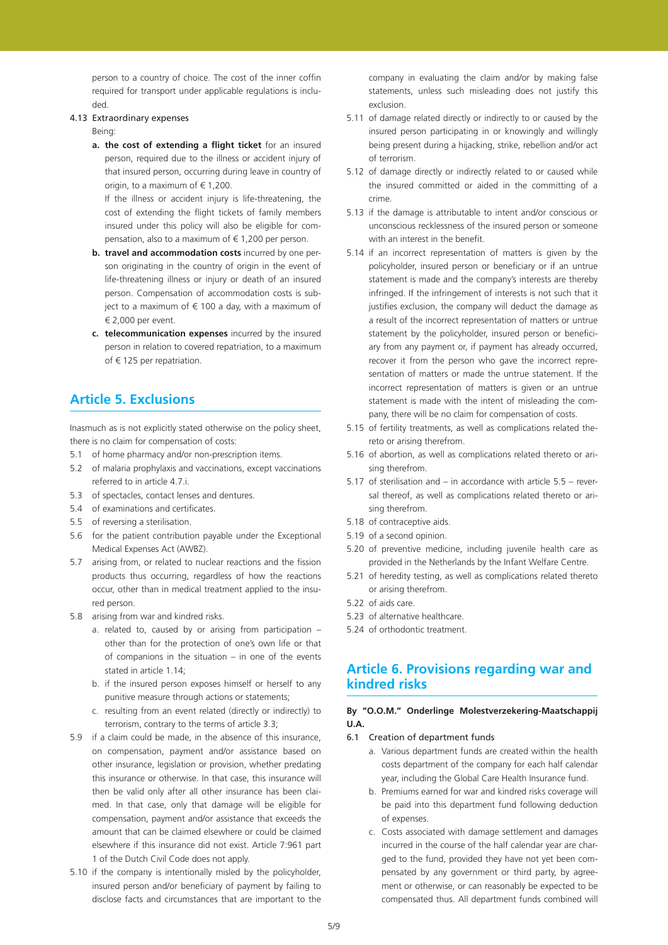person to a country of choice. The cost of the inner coffin required for transport under applicable regulations is included.

## 4.13 Extraordinary expenses

 Being:

**a. the cost of extending a flight ticket** for an insured person, required due to the illness or accident injury of that insured person, occurring during leave in country of origin, to a maximum of  $\in$  1,200.

 If the illness or accident injury is life-threatening, the cost of extending the flight tickets of family members insured under this policy will also be eligible for compensation, also to a maximum of  $\in$  1,200 per person.

- **b. travel and accommodation costs** incurred by one person originating in the country of origin in the event of life-threatening illness or injury or death of an insured person. Compensation of accommodation costs is subject to a maximum of  $\epsilon$  100 a day, with a maximum of € 2,000 per event.
- **c. telecommunication expenses** incurred by the insured person in relation to covered repatriation, to a maximum of € 125 per repatriation.

# **Article 5. Exclusions**

Inasmuch as is not explicitly stated otherwise on the policy sheet, there is no claim for compensation of costs:

- 5.1 of home pharmacy and/or non-prescription items.
- 5.2 of malaria prophylaxis and vaccinations, except vaccinations referred to in article 4.7.i.
- 5.3 of spectacles, contact lenses and dentures.
- 5.4 of examinations and certificates.
- 5.5 of reversing a sterilisation.
- 5.6 for the patient contribution payable under the Exceptional Medical Expenses Act (AWBZ).
- 5.7 arising from, or related to nuclear reactions and the fission products thus occurring, regardless of how the reactions occur, other than in medical treatment applied to the insured person.
- 5.8 arising from war and kindred risks.
	- a. related to, caused by or arising from participation other than for the protection of one's own life or that of companions in the situation – in one of the events stated in article 1.14;
	- b. if the insured person exposes himself or herself to any punitive measure through actions or statements;
	- c. resulting from an event related (directly or indirectly) to terrorism, contrary to the terms of article 3.3;
- 5.9 if a claim could be made, in the absence of this insurance. on compensation, payment and/or assistance based on other insurance, legislation or provision, whether predating this insurance or otherwise. In that case, this insurance will then be valid only after all other insurance has been claimed. In that case, only that damage will be eligible for compensation, payment and/or assistance that exceeds the amount that can be claimed elsewhere or could be claimed elsewhere if this insurance did not exist. Article 7:961 part 1 of the Dutch Civil Code does not apply.
- 5.10 if the company is intentionally misled by the policyholder, insured person and/or beneficiary of payment by failing to disclose facts and circumstances that are important to the

company in evaluating the claim and/or by making false statements, unless such misleading does not justify this exclusion.

- 5.11 of damage related directly or indirectly to or caused by the insured person participating in or knowingly and willingly being present during a hijacking, strike, rebellion and/or act of terrorism.
- 5.12 of damage directly or indirectly related to or caused while the insured committed or aided in the committing of a crime.
- 5.13 if the damage is attributable to intent and/or conscious or unconscious recklessness of the insured person or someone with an interest in the benefit.
- 5.14 if an incorrect representation of matters is given by the policyholder, insured person or beneficiary or if an untrue statement is made and the company's interests are thereby infringed. If the infringement of interests is not such that it justifies exclusion, the company will deduct the damage as a result of the incorrect representation of matters or untrue statement by the policyholder, insured person or beneficiary from any payment or, if payment has already occurred, recover it from the person who gave the incorrect representation of matters or made the untrue statement. If the incorrect representation of matters is given or an untrue statement is made with the intent of misleading the company, there will be no claim for compensation of costs.
- 5.15 of fertility treatments, as well as complications related thereto or arising therefrom.
- 5.16 of abortion, as well as complications related thereto or arising therefrom.
- 5.17 of sterilisation and in accordance with article  $5.5$  reversal thereof, as well as complications related thereto or arising therefrom.
- 5.18 of contraceptive aids.
- 5.19 of a second opinion.
- 5.20 of preventive medicine, including juvenile health care as provided in the Netherlands by the Infant Welfare Centre.
- 5.21 of heredity testing, as well as complications related thereto or arising therefrom.
- 5.22 of aids care.
- 5.23 of alternative healthcare.
- 5.24 of orthodontic treatment.

# **Article 6. Provisions regarding war and kindred risks**

## **By "O.O.M." Onderlinge Molestverzekering-Maatschappij U.A.**

- 6.1 Creation of department funds
	- a. Various department funds are created within the health costs department of the company for each half calendar year, including the Global Care Health Insurance fund.
	- b. Premiums earned for war and kindred risks coverage will be paid into this department fund following deduction of expenses.
	- c. Costs associated with damage settlement and damages incurred in the course of the half calendar year are charged to the fund, provided they have not yet been compensated by any government or third party, by agreement or otherwise, or can reasonably be expected to be compensated thus. All department funds combined will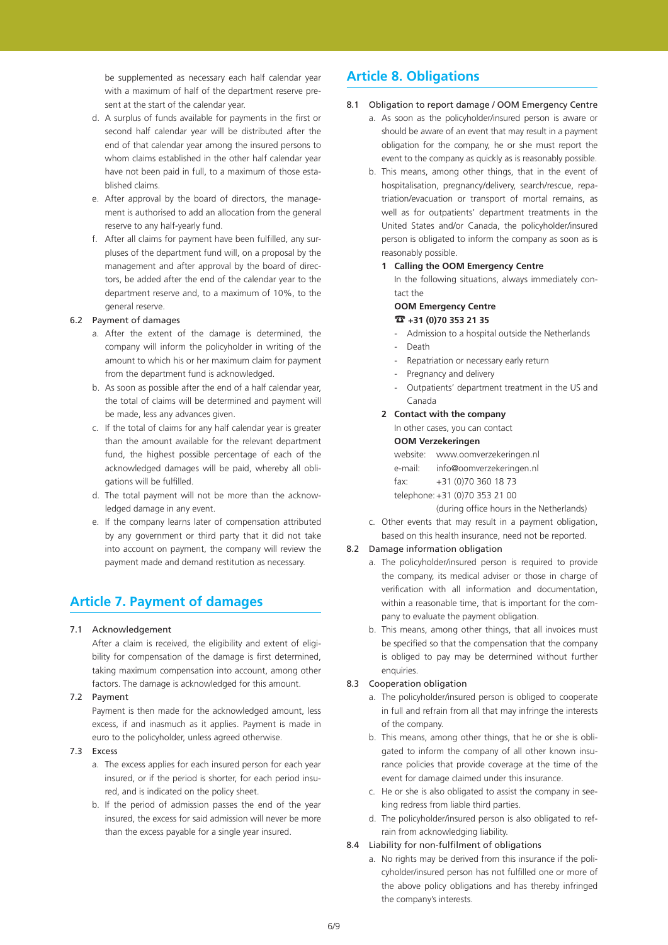be supplemented as necessary each half calendar year with a maximum of half of the department reserve present at the start of the calendar year.

- d. A surplus of funds available for payments in the first or second half calendar year will be distributed after the end of that calendar year among the insured persons to whom claims established in the other half calendar year have not been paid in full, to a maximum of those established claims.
- e. After approval by the board of directors, the management is authorised to add an allocation from the general reserve to any half-yearly fund.
- f. After all claims for payment have been fulfilled, any surpluses of the department fund will, on a proposal by the management and after approval by the board of directors, be added after the end of the calendar year to the department reserve and, to a maximum of 10%, to the general reserve.

## 6.2 Payment of damages

- a. After the extent of the damage is determined, the company will inform the policyholder in writing of the amount to which his or her maximum claim for payment from the department fund is acknowledged.
- b. As soon as possible after the end of a half calendar year, the total of claims will be determined and payment will be made, less any advances given.
- c. If the total of claims for any half calendar year is greater than the amount available for the relevant department fund, the highest possible percentage of each of the acknowledged damages will be paid, whereby all obligations will be fulfilled.
- d. The total payment will not be more than the acknowledged damage in any event.
- e. If the company learns later of compensation attributed by any government or third party that it did not take into account on payment, the company will review the payment made and demand restitution as necessary.

# **Article 7. Payment of damages**

## 7.1 Acknowledgement

 After a claim is received, the eligibility and extent of eligibility for compensation of the damage is first determined, taking maximum compensation into account, among other factors. The damage is acknowledged for this amount.

## 7.2 Payment

 Payment is then made for the acknowledged amount, less excess, if and inasmuch as it applies. Payment is made in euro to the policyholder, unless agreed otherwise.

- 7.3 Excess
	- a. The excess applies for each insured person for each year insured, or if the period is shorter, for each period insured, and is indicated on the policy sheet.
	- b. If the period of admission passes the end of the year insured, the excess for said admission will never be more than the excess payable for a single year insured.

# **Article 8. Obligations**

# 8.1 Obligation to report damage / OOM Emergency Centre

- a. As soon as the policyholder/insured person is aware or should be aware of an event that may result in a payment obligation for the company, he or she must report the event to the company as quickly as is reasonably possible.
- b. This means, among other things, that in the event of hospitalisation, pregnancy/delivery, search/rescue, repatriation/evacuation or transport of mortal remains, as well as for outpatients' department treatments in the United States and/or Canada, the policyholder/insured person is obligated to inform the company as soon as is reasonably possible.

# **1 Calling the OOM Emergency Centre**

 In the following situations, always immediately contact the

## **OOM Emergency Centre** ☎ **+31 (0)70 353 21 35**

- Admission to a hospital outside the Netherlands
- Death
- Repatriation or necessary early return
- Pregnancy and delivery
- Outpatients' department treatment in the US and Canada

# **2 Contact with the company**

In other cases, you can contact

## **OOM Verzekeringen**

website: www.oomverzekeringen.nl e-mail: info@oomverzekeringen.nl fax: +31 (0)70 360 18 73 telephone: +31 (0)70 353 21 00

 (during office hours in the Netherlands)

c. Other events that may result in a payment obligation, based on this health insurance, need not be reported.

# 8.2 Damage information obligation

- a. The policyholder/insured person is required to provide the company, its medical adviser or those in charge of verification with all information and documentation, within a reasonable time, that is important for the company to evaluate the payment obligation.
- b. This means, among other things, that all invoices must be specified so that the compensation that the company is obliged to pay may be determined without further enquiries.

# 8.3 Cooperation obligation

- a. The policyholder/insured person is obliged to cooperate in full and refrain from all that may infringe the interests of the company.
- b. This means, among other things, that he or she is obligated to inform the company of all other known insurance policies that provide coverage at the time of the event for damage claimed under this insurance.
- c. He or she is also obligated to assist the company in seeking redress from liable third parties.
- d. The policyholder/insured person is also obligated to refrain from acknowledging liability.

# 8.4 Liability for non-fulfilment of obligations

a. No rights may be derived from this insurance if the policyholder/insured person has not fulfilled one or more of the above policy obligations and has thereby infringed the company's interests.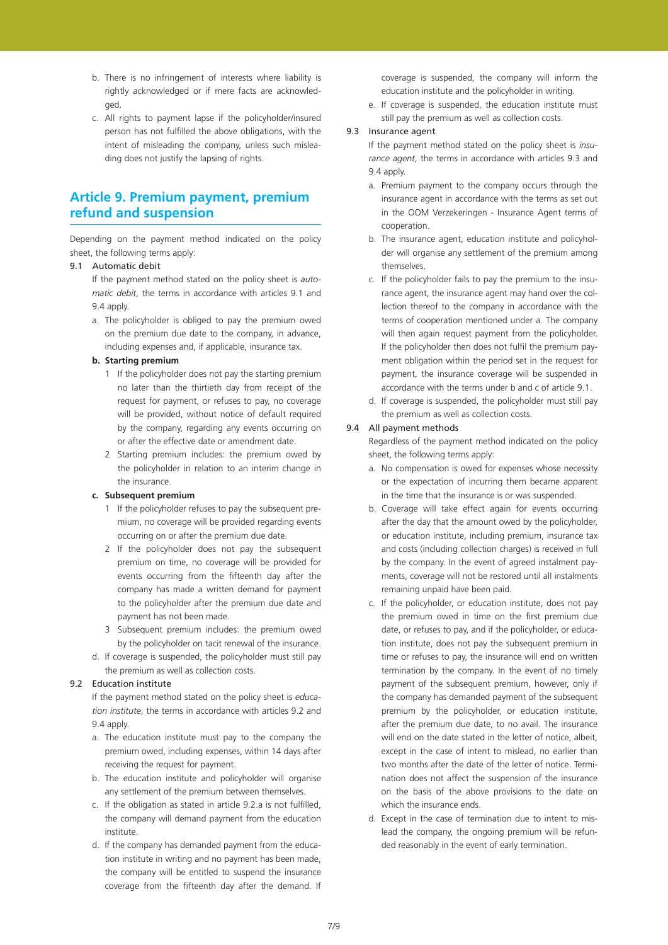- b. There is no infringement of interests where liability is rightly acknowledged or if mere facts are acknowledged.
- c. All rights to payment lapse if the policyholder/insured person has not fulfilled the above obligations, with the intent of misleading the company, unless such misleading does not justify the lapsing of rights.

# **Article 9. Premium payment, premium refund and suspension**

Depending on the payment method indicated on the policy sheet, the following terms apply:

# 9.1 Automatic debit

 If the payment method stated on the policy sheet is *automatic debit*, the terms in accordance with articles 9.1 and 9.4 apply.

a. The policyholder is obliged to pay the premium owed on the premium due date to the company, in advance, including expenses and, if applicable, insurance tax.

# **b. Starting premium**

- 1 If the policyholder does not pay the starting premium no later than the thirtieth day from receipt of the request for payment, or refuses to pay, no coverage will be provided, without notice of default required by the company, regarding any events occurring on or after the effective date or amendment date.
- 2 Starting premium includes: the premium owed by the policyholder in relation to an interim change in the insurance.

### **c. Subsequent premium**

- 1 If the policyholder refuses to pay the subsequent premium, no coverage will be provided regarding events occurring on or after the premium due date.
- 2 If the policyholder does not pay the subsequent premium on time, no coverage will be provided for events occurring from the fifteenth day after the company has made a written demand for payment to the policyholder after the premium due date and payment has not been made.
- 3 Subsequent premium includes: the premium owed by the policyholder on tacit renewal of the insurance.
- d. If coverage is suspended, the policyholder must still pay the premium as well as collection costs.

# 9.2 **Education institute**

 If the payment method stated on the policy sheet is *education institute*, the terms in accordance with articles 9.2 and 9.4 apply

- a. The education institute must pay to the company the premium owed, including expenses, within 14 days after receiving the request for payment.
- b. The education institute and policyholder will organise any settlement of the premium between themselves.
- c. If the obligation as stated in article 9.2.a is not fulfilled, the company will demand payment from the education institute.
- d. If the company has demanded payment from the education institute in writing and no payment has been made, the company will be entitled to suspend the insurance coverage from the fifteenth day after the demand. If

coverage is suspended, the company will inform the education institute and the policyholder in writing.

e. If coverage is suspended, the education institute must still pay the premium as well as collection costs.

## 9.3 Insurance agent

 If the payment method stated on the policy sheet is *insurance agent*, the terms in accordance with articles 9.3 and 9.4 apply.

- a. Premium payment to the company occurs through the insurance agent in accordance with the terms as set out in the OOM Verzekeringen - Insurance Agent terms of cooperation.
- b. The insurance agent, education institute and policyholder will organise any settlement of the premium among themselves.
- c. If the policyholder fails to pay the premium to the insurance agent, the insurance agent may hand over the collection thereof to the company in accordance with the terms of cooperation mentioned under a. The company will then again request payment from the policyholder. If the policyholder then does not fulfil the premium payment obligation within the period set in the request for payment, the insurance coverage will be suspended in accordance with the terms under b and c of article 9.1.
- d. If coverage is suspended, the policyholder must still pay the premium as well as collection costs.

## 9.4 All payment methods

 Regardless of the payment method indicated on the policy sheet, the following terms apply:

- a. No compensation is owed for expenses whose necessity or the expectation of incurring them became apparent in the time that the insurance is or was suspended.
- b. Coverage will take effect again for events occurring after the day that the amount owed by the policyholder, or education institute, including premium, insurance tax and costs (including collection charges) is received in full by the company. In the event of agreed instalment payments, coverage will not be restored until all instalments remaining unpaid have been paid.
- c. If the policyholder, or education institute, does not pay the premium owed in time on the first premium due date, or refuses to pay, and if the policyholder, or education institute, does not pay the subsequent premium in time or refuses to pay, the insurance will end on written termination by the company. In the event of no timely payment of the subsequent premium, however, only if the company has demanded payment of the subsequent premium by the policyholder, or education institute, after the premium due date, to no avail. The insurance will end on the date stated in the letter of notice, albeit, except in the case of intent to mislead, no earlier than two months after the date of the letter of notice. Termination does not affect the suspension of the insurance on the basis of the above provisions to the date on which the insurance ends.
- d. Except in the case of termination due to intent to mislead the company, the ongoing premium will be refunded reasonably in the event of early termination.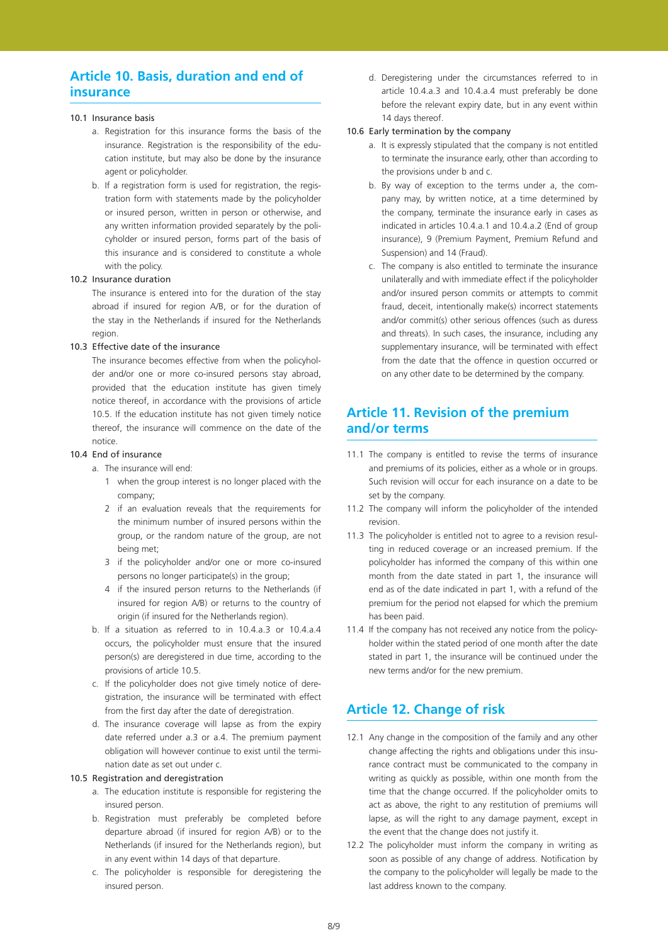# **Article 10. Basis, duration and end of insurance**

## 10.1 Insurance basis

- a. Registration for this insurance forms the basis of the insurance. Registration is the responsibility of the education institute, but may also be done by the insurance agent or policyholder.
- b. If a registration form is used for registration, the registration form with statements made by the policyholder or insured person, written in person or otherwise, and any written information provided separately by the policyholder or insured person, forms part of the basis of this insurance and is considered to constitute a whole with the policy.

## 10.2 Insurance duration

 The insurance is entered into for the duration of the stay abroad if insured for region A/B, or for the duration of the stay in the Netherlands if insured for the Netherlands region.

## 10.3 Effective date of the insurance

 The insurance becomes effective from when the policyholder and/or one or more co-insured persons stay abroad, provided that the education institute has given timely notice thereof, in accordance with the provisions of article 10.5. If the education institute has not given timely notice thereof, the insurance will commence on the date of the notice.

## 10.4 End of insurance

a. The insurance will end:

- 1 when the group interest is no longer placed with the company;
- 2 if an evaluation reveals that the requirements for the minimum number of insured persons within the group, or the random nature of the group, are not being met;
- 3 if the policyholder and/or one or more co-insured persons no longer participate(s) in the group;
- 4 if the insured person returns to the Netherlands (if insured for region A/B) or returns to the country of origin (if insured for the Netherlands region).
- b. If a situation as referred to in 10.4.a.3 or 10.4.a.4 occurs, the policyholder must ensure that the insured person(s) are deregistered in due time, according to the provisions of article 10.5.
- c. If the policyholder does not give timely notice of deregistration, the insurance will be terminated with effect from the first day after the date of deregistration.
- d. The insurance coverage will lapse as from the expiry date referred under a.3 or a.4. The premium payment obligation will however continue to exist until the termination date as set out under c.

## 10.5 Registration and deregistration

- a. The education institute is responsible for registering the insured person.
- b. Registration must preferably be completed before departure abroad (if insured for region A/B) or to the Netherlands (if insured for the Netherlands region), but in any event within 14 days of that departure.
- c. The policyholder is responsible for deregistering the insured person.

d. Deregistering under the circumstances referred to in article 10.4.a.3 and 10.4.a.4 must preferably be done before the relevant expiry date, but in any event within 14 days thereof.

### 10.6 Early termination by the company

- a. It is expressly stipulated that the company is not entitled to terminate the insurance early, other than according to the provisions under b and c.
- b. By way of exception to the terms under a, the company may, by written notice, at a time determined by the company, terminate the insurance early in cases as indicated in articles 10.4.a.1 and 10.4.a.2 (End of group insurance), 9 (Premium Payment, Premium Refund and Suspension) and 14 (Fraud).
- c. The company is also entitled to terminate the insurance unilaterally and with immediate effect if the policyholder and/or insured person commits or attempts to commit fraud, deceit, intentionally make(s) incorrect statements and/or commit(s) other serious offences (such as duress and threats). In such cases, the insurance, including any supplementary insurance, will be terminated with effect from the date that the offence in question occurred or on any other date to be determined by the company.

# **Article 11. Revision of the premium and/or terms**

- 11.1 The company is entitled to revise the terms of insurance and premiums of its policies, either as a whole or in groups. Such revision will occur for each insurance on a date to be set by the company.
- 11.2 The company will inform the policyholder of the intended revision.
- 11.3 The policyholder is entitled not to agree to a revision resulting in reduced coverage or an increased premium. If the policyholder has informed the company of this within one month from the date stated in part 1, the insurance will end as of the date indicated in part 1, with a refund of the premium for the period not elapsed for which the premium has been paid.
- 11.4 If the company has not received any notice from the policyholder within the stated period of one month after the date stated in part 1, the insurance will be continued under the new terms and/or for the new premium.

# **Article 12. Change of risk**

- 12.1 Any change in the composition of the family and any other change affecting the rights and obligations under this insurance contract must be communicated to the company in writing as quickly as possible, within one month from the time that the change occurred. If the policyholder omits to act as above, the right to any restitution of premiums will lapse, as will the right to any damage payment, except in the event that the change does not justify it.
- 12.2 The policyholder must inform the company in writing as soon as possible of any change of address. Notification by the company to the policyholder will legally be made to the last address known to the company.